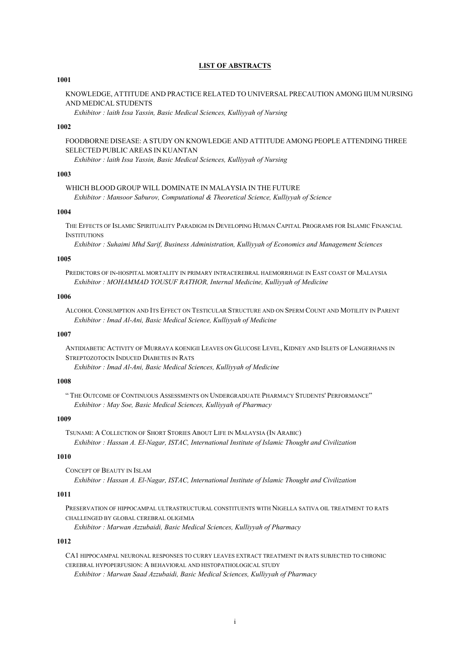# **LIST OF ABSTRACTS**

#### **1001**

KNOWLEDGE, ATTITUDE AND PRACTICE RELATED TO UNIVERSAL PRECAUTION AMONG IIUM NURSING AND MEDICAL STUDENTS

*Exhibitor : laith Issa Yassin, Basic Medical Sciences, Kulliyyah of Nursing*

# **1002**

FOODBORNE DISEASE: A STUDY ON KNOWLEDGE AND ATTITUDE AMONG PEOPLE ATTENDING THREE SELECTED PUBLIC AREAS IN KUANTAN

*Exhibitor : laith Issa Yassin, Basic Medical Sciences, Kulliyyah of Nursing*

### **1003**

WHICH BLOOD GROUP WILL DOMINATE IN MALAYSIA IN THE FUTURE *Exhibitor : Mansoor Saburov, Computational & Theoretical Science, Kulliyyah of Science*

# **1004**

THE EFFECTS OF ISLAMIC SPIRITUALITY PARADIGM IN DEVELOPING HUMAN CAPITAL PROGRAMS FOR ISLAMIC FINANCIAL **INSTITUTIONS** 

*Exhibitor : Suhaimi Mhd Sarif, Business Administration, Kulliyyah of Economics and Management Sciences*

#### **1005**

PREDICTORS OF IN-HOSPITAL MORTALITY IN PRIMARY INTRACEREBRAL HAEMORRHAGE IN EAST COAST OF MALAYSIA *Exhibitor : MOHAMMAD YOUSUF RATHOR, Internal Medicine, Kulliyyah of Medicine*

#### **1006**

ALCOHOL CONSUMPTION AND ITS EFFECT ON TESTICULAR STRUCTURE AND ON SPERM COUNT AND MOTILITY IN PARENT *Exhibitor : Imad Al-Ani, Basic Medical Science, Kulliyyah of Medicine*

#### **1007**

ANTIDIABETIC ACTIVITY OF MURRAYA KOENIGII LEAVES ON GLUCOSE LEVEL, KIDNEY AND ISLETS OF LANGERHANS IN STREPTOZOTOCIN INDUCED DIABETES IN RATS

*Exhibitor : Imad Al-Ani, Basic Medical Sciences, Kulliyyah of Medicine*

#### **1008**

" THE OUTCOME OF CONTINUOUS ASSESSMENTS ON UNDERGRADUATE PHARMACY STUDENTS' PERFORMANCE" *Exhibitor : May Soe, Basic Medical Sciences, Kulliyyah of Pharmacy*

#### **1009**

TSUNAMI: A COLLECTION OF SHORT STORIES ABOUT LIFE IN MALAYSIA (IN ARABIC) *Exhibitor : Hassan A. El-Nagar, ISTAC, International Institute of Islamic Thought and Civilization*

### **1010**

CONCEPT OF BEAUTY IN ISLAM *Exhibitor : Hassan A. El-Nagar, ISTAC, International Institute of Islamic Thought and Civilization*

# **1011**

PRESERVATION OF HIPPOCAMPAL ULTRASTRUCTURAL CONSTITUENTS WITH NIGELLA SATIVA OIL TREATMENT TO RATS CHALLENGED BY GLOBAL CEREBRAL OLIGEMIA

*Exhibitor : Marwan Azzubaidi, Basic Medical Sciences, Kulliyyah of Pharmacy*

# **1012**

CA1 HIPPOCAMPAL NEURONAL RESPONSES TO CURRY LEAVES EXTRACT TREATMENT IN RATS SUBJECTED TO CHRONIC CEREBRAL HYPOPERFUSION: A BEHAVIORAL AND HISTOPATHOLOGICAL STUDY *Exhibitor : Marwan Saad Azzubaidi, Basic Medical Sciences, Kulliyyah of Pharmacy*